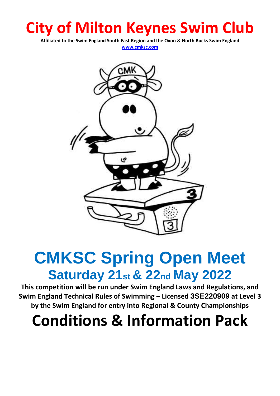# **City of Milton Keynes Swim Club**

**Affiliated to the Swim England South East Region and the Oxon & North Bucks Swim England [www.cmksc.com](http://www.cmksc.com/)**



## **CMKSC Spring Open Meet Saturday 21st & 22nd May 2022**

**This competition will be run under Swim England Laws and Regulations, and Swim England Technical Rules of Swimming – Licensed 3SE220909 at Level 3 by the Swim England for entry into Regional & County Championships**

# **Conditions & Information Pack**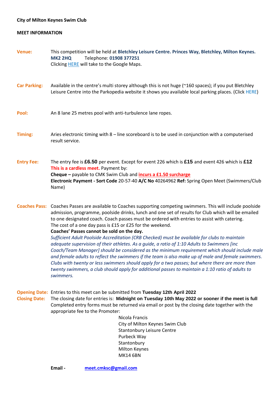### **City of Milton Keynes Swim Club**

#### **MEET INFORMATION**

| <b>Venue:</b>        | This competition will be held at Bletchley Leisure Centre. Princes Way, Bletchley, Milton Keynes.<br>Telephone: 01908 377251<br><b>MK2 2HQ</b><br>Clicking <b>HERE</b> will take to the Google Maps.                                                                                                                                                                                                                                                                                                                                                                                                                                                                                                                                                                                                                                                                                                                                                                                                                                                       |
|----------------------|------------------------------------------------------------------------------------------------------------------------------------------------------------------------------------------------------------------------------------------------------------------------------------------------------------------------------------------------------------------------------------------------------------------------------------------------------------------------------------------------------------------------------------------------------------------------------------------------------------------------------------------------------------------------------------------------------------------------------------------------------------------------------------------------------------------------------------------------------------------------------------------------------------------------------------------------------------------------------------------------------------------------------------------------------------|
| <b>Car Parking:</b>  | Available in the centre's multi storey although this is not huge (~160 spaces); if you put Bletchley<br>Leisure Centre into the Parkopedia website it shows you available local parking places. (Click HERE)                                                                                                                                                                                                                                                                                                                                                                                                                                                                                                                                                                                                                                                                                                                                                                                                                                               |
| Pool:                | An 8 lane 25 metres pool with anti-turbulence lane ropes.                                                                                                                                                                                                                                                                                                                                                                                                                                                                                                                                                                                                                                                                                                                                                                                                                                                                                                                                                                                                  |
| <b>Timing:</b>       | Aries electronic timing with 8 - line scoreboard is to be used in conjunction with a computerised<br>result service.                                                                                                                                                                                                                                                                                                                                                                                                                                                                                                                                                                                                                                                                                                                                                                                                                                                                                                                                       |
| <b>Entry Fee:</b>    | The entry fee is £6.50 per event. Except for event 226 which is £15 and event 426 which is £12<br>This is a cardless meet. Payment by:<br>Cheque - payable to CMK Swim Club and <i>incurs a £1.50 surcharge</i><br>Electronic Payment - Sort Code 20-57-40 A/C No 40264962 Ref: Spring Open Meet (Swimmers/Club<br>Name)                                                                                                                                                                                                                                                                                                                                                                                                                                                                                                                                                                                                                                                                                                                                   |
|                      | Coaches Pass: Coaches Passes are available to Coaches supporting competing swimmers. This will include poolside<br>admission, programme, poolside drinks, lunch and one set of results for Club which will be emailed<br>to one designated coach. Coach passes must be ordered with entries to assist with catering.<br>The cost of a one day pass is £15 or £25 for the weekend.<br>Coaches' Passes cannot be sold on the day.<br>Sufficient Adult Poolside Accreditation (CRB Checked) must be available for clubs to maintain<br>adequate supervision of their athletes. As a guide, a ratio of 1:10 Adults to Swimmers [inc<br>Coach/Team Manager] should be considered as the minimum requirement which should include male<br>and female adults to reflect the swimmers if the team is also make up of male and female swimmers.<br>Clubs with twenty or less swimmers should apply for a two passes; but where there are more than<br>twenty swimmers, a club should apply for additional passes to maintain a 1:10 ratio of adults to<br>swimmers. |
| <b>Closing Date:</b> | Opening Date: Entries to this meet can be submitted from Tuesday 12th April 2022<br>The closing date for entries is: Midnight on Tuesday 10th May 2022 or sooner if the meet is full<br>Completed entry forms must be returned via email or post by the closing date together with the<br>appropriate fee to the Promoter:<br>Nicola Francis<br>City of Milton Keynes Swim Club<br><b>Stantonbury Leisure Centre</b><br>Purbeck Way<br>Stantonbury<br><b>Milton Keynes</b><br><b>MK14 6BN</b>                                                                                                                                                                                                                                                                                                                                                                                                                                                                                                                                                              |
|                      | Email -<br>meet.cmksc@gmail.com                                                                                                                                                                                                                                                                                                                                                                                                                                                                                                                                                                                                                                                                                                                                                                                                                                                                                                                                                                                                                            |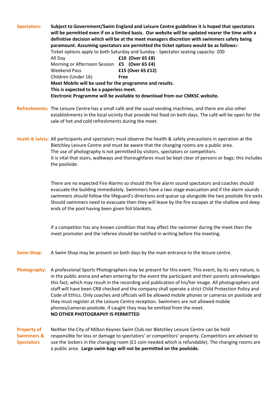**Spectators: Subject to Government/Swim England and Leisure Centre guidelines it is hoped that spectators will be permitted even if on a limited basis. Our website will be updated nearer the time with a definitive decision which will be at the meet managers discretion with swimmers safety being paramount. Assuming spectators are permitted the ticket options would be as follows:-** Ticket options apply to both Saturday and Sunday - Spectator seating capacity: 200 All Day **£10 (Over 65 £8)** Morning or Afternoon Session **£5 (Over 65 £4)** Weekend Pass **£15 (Over 65 £12)** Children (Under 16) **Free Meet Mobile will be used for the programme and results. This is expected to be a paperless meet. Electronic Programme will be available to download from our CMKSC website. Refreshments:** The Leisure Centre has a small café and the usual vending machines, and there are also other establishments in the local vicinity that provide hot food on both days. The café will be open for the sale of hot and cold refreshments during the meet. **Health & Safety:** All participants and spectators must observe the health & safety precautions in operation at the Bletchley Leisure Centre and must be aware that the changing rooms are a public area. The use of photography is not permitted by visitors, spectators or competitors. It is vital that stairs, walkways and thoroughfares must be kept clear of persons or bags; this includes the poolside. There are no expected Fire Alarms so should the fire alarm sound spectators and coaches should evacuate the building immediately. Swimmers have a two stage evacuation and if the alarm sounds swimmers should follow the lifeguard's directions and queue up alongside the two poolside fire exits Should swimmers need to evacuate then they will leave by the fire escapes at the shallow and deep ends of the pool having been given foil blankets. If a competitor has any known condition that may affect the swimmer during the meet then the meet promoter and the referee should be notified in writing before the meeting. **Swim Shop:** A Swim Shop may be present on both days by the main entrance to the leisure centre. **Photography:** A professional Sports Photographers may be present for this event. This event, by its very nature, is in the public arena and when entering for the event the participant and their parents acknowledges this fact, which may result in the recording and publication of his/her image. All photographers and staff will have been CRB checked and the company shall operate a strict Child Protection Policy and Code of Ethics. Only coaches and officials will be allowed mobile phones or cameras on poolside and they must register at the Leisure Centre reception. Swimmers are not allowed mobile phones/cameras poolside. If caught they may be omitted from the meet. **NO OTHER PHOTOGRAPHY IS PERMITTED Property of** Neither the City of Milton Keynes Swim Club nor Bletchley Leisure Centre can be held **Swimmers &** responsible for loss or damage to spectators' or competitors' property. Competitors are advised to **Spectators** use the lockers in the changing room (£1 coin needed which is refundable). The changing rooms are a public area. **Large swim bags will not be permitted on the poolside.**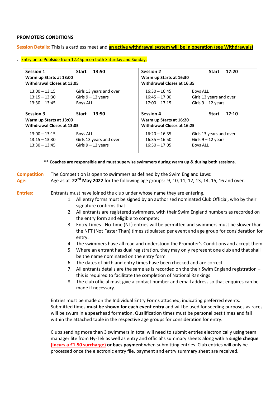#### **PROMOTERS CONDITIONS**

**Session Details:** This is a cardless meet and **an active withdrawal system will be in operation (see Withdrawals)**

#### . Entry on to Poolside from 12.45pm on both Saturday and Sunday.

| <b>Session 1</b><br>13:50<br><b>Start</b><br>Warm up Starts at 13:00<br><b>Withdrawal Closes at 13:05</b> |                         | <b>Session 2</b>                                                                 | 17:20<br><b>Start</b><br>Warm up Starts at 16:30<br><b>Withdrawal Closes at 16:35</b> |  |
|-----------------------------------------------------------------------------------------------------------|-------------------------|----------------------------------------------------------------------------------|---------------------------------------------------------------------------------------|--|
| $13:00 - 13:15$                                                                                           | Girls 13 years and over | $16:30 - 16:45$                                                                  | Boys ALL                                                                              |  |
| $13:15 - 13:30$                                                                                           | Girls $9 - 12$ years    | $16:45 - 17:00$                                                                  | Girls 13 years and over                                                               |  |
| $13:30 - 13:45$                                                                                           | <b>Boys ALL</b>         | $17:00 - 17:15$                                                                  | Girls $9 - 12$ years                                                                  |  |
| <b>Session 3</b><br>13:50<br><b>Start</b><br>Warm up Starts at 13:00<br>Withdrawal Closes at 13:05        |                         | <b>Session 4</b><br>Warm up Starts at 16:20<br><b>Withdrawal Closes at 16:25</b> | 17:10<br><b>Start</b>                                                                 |  |
| $13:00 - 13:15$                                                                                           | Boys ALL                | $16:20 - 16:35$                                                                  | Girls 13 years and over                                                               |  |
| $13:15 - 13:30$                                                                                           | Girls 13 years and over | $16:35 - 16:50$                                                                  | Girls $9 - 12$ years                                                                  |  |
| $13:30 - 13:45$                                                                                           | Girls $9 - 12$ years    | $16:50 - 17:05$                                                                  | <b>Boys ALL</b>                                                                       |  |

**\*\* Coaches are responsible and must supervise swimmers during warm up & during both sessions.**

### **Competition** The Competition is open to swimmers as defined by the Swim England Laws: Age: Age as at 22<sup>nd</sup> May 2022 for the following age groups: 9, 10, 11, 12, 13, 14, 15, 16 and over.

**Entries:** Entrants must have joined the club under whose name they are entering.

- 1. All entry forms must be signed by an authorised nominated Club Official, who by their signature confirms that:
- 2. All entrants are registered swimmers, with their Swim England numbers as recorded on the entry form and eligible to compete;
- 3. Entry Times No Time (NT) entries will be permitted and swimmers must be slower than the NFT (Not Faster Than) times stipulated per event and age group for consideration for entry.
- 4. The swimmers have all read and understood the Promoter's Conditions and accept them
- 5. Where an entrant has dual registration, they may only represent one club and that shall be the name nominated on the entry form
- 6. The dates of birth and entry times have been checked and are correct
- 7. All entrants details are the same as is recorded on the their Swim England registration this is required to facilitate the completion of National Rankings
- 8. The club official must give a contact number and email address so that enquires can be made if necessary.

Entries must be made on the Individual Entry Forms attached, indicating preferred events. Submitted times **must be shown for each event entry** and will be used for seeding purposes as races will be swum in a spearhead formation. Qualification times must be personal best times and fall within the attached table in the respective age groups for consideration for entry.

Clubs sending more than 3 swimmers in total will need to submit entries electronically using team manager lite from Hy-Tek as well as entry and official's summary sheets along with a **single cheque (incurs a £1.50 surcharge) or bacs payment** when submitting entries. Club entries will only be processed once the electronic entry file, payment and entry summary sheet are received.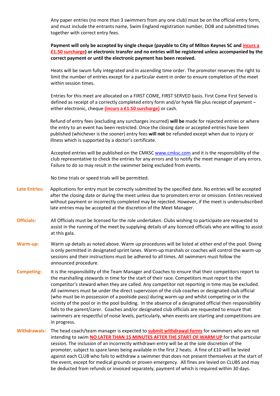Any paper entries (no more than 3 swimmers from any one club) must be on the official entry form, and must include the entrants name, Swim England registration number, DOB and submitted times together with correct entry fees.

**Payment will only be accepted by single cheque (payable to City of Milton Keynes SC and incurs a £1.50 surcharge) or electronic transfer and no entries will be registered unless accompanied by the correct payment or until the electronic payment has been received.** 

Heats will be swum fully integrated and in ascending time order. The promoter reserves the right to limit the number of entries except for a particular event in order to ensure completion of the meet within session times.

Entries for this meet are allocated on a FIRST COME, FIRST SERVED basis. First Come First Served is defined as receipt of a correctly completed entry form and/or hytek file plus receipt of payment – either electronic, cheque **(incurs a £1.50 surcharge)** or cash.

Refund of entry fees (excluding any surcharges incurred) **will be** made for rejected entries or where the entry to an event has been restricted. Once the closing date or accepted entries have been published (whichever is the sooner) entry fees **will not** be refunded except when due to injury or illness which is supported by a doctor's certificate.

Accepted entries will be published on the CMKS[C www.cmksc.com](http://www.cmksc.com/) and it is the responsibility of the club representative to check the entries for any errors and to notify the meet manager of any errors. Failure to do so may result in the swimmer being excluded from events.

No time trials or speed trials will be permitted.

- **Late Entries:** Applications for entry must be correctly submitted by the specified date. No entries will be accepted after the closing date or during the meet unless due to promoters error or omission. Entries received without payment or incorrectly completed may be rejected. However, if the meet is undersubscribed late entries may be accepted at the discretion of the Meet Manager.
- **Officials:** All Officials must be licensed for the role undertaken. Clubs wishing to participate are requested to assist in the running of the meet by supplying details of any licenced officials who are willing to assist at this gala.
- **Warm-up:** Warm up details as noted above. Warm up procedures will be listed at either end of the pool. Diving is only permitted in designated sprint lanes. Warm-up marshals or coaches will control the warm-up sessions and their instructions must be adhered to all times. All swimmers must follow the announced procedure.
- **Competing:** It is the responsibility of the Team Manager and Coaches to ensure that their competitors report to the marshalling stewards in time for the start of their race. Competitors must report to the competitor's steward when they are called. Any competitor not reporting in time may be excluded. All swimmers must be under the direct supervision of the club coaches or designated club official (who must be in possession of a poolside pass) during warm-up and whilst competing or in the vicinity of the pool or in the pool building. In the absence of a designated official then responsibility falls to the parent/carer. Coaches and/or designated club officials are requested to ensure that swimmers are respectful of noise levels, particularly, when events are starting and competitions are in progress.
- **Withdrawals:** The head coach/team manager is expected to **submit withdrawal forms** for swimmers who are not intending to swim **NO LATER THAN 15 MINUTES AFTER THE START OF WARM UP** for that particular session. The inclusion of an incorrectly withdrawn entry will be at the sole discretion of the promoter, subject to spare lanes being available in the first 2 heats. A fine of £10 will be levied against each CLUB who fails to withdraw a swimmer that does not present themselves at the start of the event, except for medical grounds or proven emergency. All fines are levied on CLUBS and may be deducted from refunds or invoiced separately, payment of which is required within 30 days.